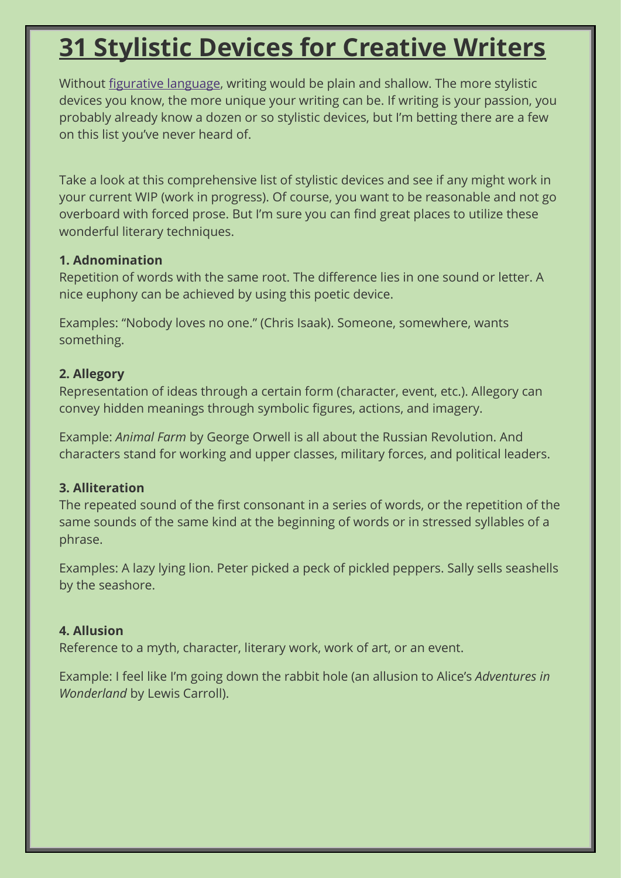# **31 Stylistic Devices for [Creative](https://www.livewritethrive.com/2015/12/21/31-stylistic-devices-for-creative-writers/) Writers**

Without figurative [language,](http://literarydevices.net/figurative-language/) writing would be plain and shallow. The more stylistic devices you know, the more unique your writing can be. If writing is your passion, you probably already know a dozen or so stylistic devices, but I'm betting there are a few on this list you've never heard of.

Take a look at this comprehensive list of stylistic devices and see if any might work in your current WIP (work in progress). Of course, you want to be reasonable and not go overboard with forced prose. But I'm sure you can find great places to utilize these wonderful literary techniques.

## **1. Adnomination**

Repetition of words with the same root. The difference lies in one sound or letter. A nice euphony can be achieved by using this poetic device.

Examples: "Nobody loves no one." (Chris Isaak). Someone, somewhere, wants something.

## **2. Allegory**

Representation of ideas through a certain form (character, event, etc.). Allegory can convey hidden meanings through symbolic figures, actions, and imagery.

Example: *Animal Farm* by George Orwell is all about the Russian Revolution. And characters stand for working and upper classes, military forces, and political leaders.

## **3. Alliteration**

The repeated sound of the first consonant in a series of words, or the repetition of the same sounds of the same kind at the beginning of words or in stressed syllables of a phrase.

Examples: A lazy lying lion. Peter picked a peck of pickled peppers. Sally sells seashells by the seashore.

# **4. Allusion**

Reference to a myth, character, literary work, work of art, or an event.

Example: I feel like I'm going down the rabbit hole (an allusion to Alice's *Adventures in Wonderland* by Lewis Carroll).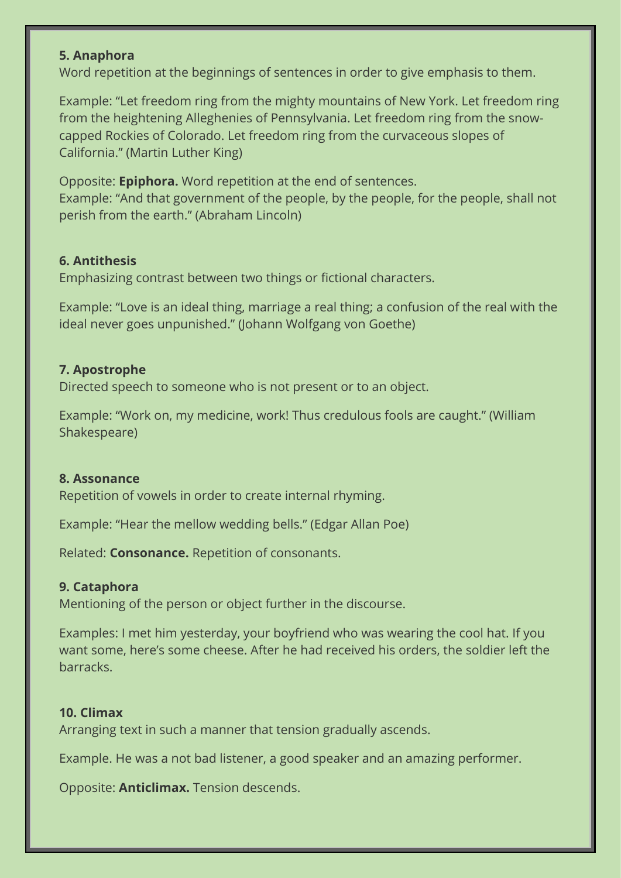### **5. Anaphora**

Word repetition at the beginnings of sentences in order to give emphasis to them.

Example: "Let freedom ring from the mighty mountains of New York. Let freedom ring from the heightening Alleghenies of Pennsylvania. Let freedom ring from the snowcapped Rockies of Colorado. Let freedom ring from the curvaceous slopes of California." (Martin Luther King)

Opposite: **Epiphora.** Word repetition at the end of sentences. Example: "And that government of the people, by the people, for the people, shall not perish from the earth." (Abraham Lincoln)

#### **6. Antithesis**

Emphasizing contrast between two things or fictional characters.

Example: "Love is an ideal thing, marriage a real thing; a confusion of the real with the ideal never goes unpunished." (Johann Wolfgang von Goethe)

#### **7. Apostrophe**

Directed speech to someone who is not present or to an object.

Example: "Work on, my medicine, work! Thus credulous fools are caught." (William Shakespeare)

#### **8. Assonance**

Repetition of vowels in order to create internal rhyming.

Example: "Hear the mellow wedding bells." (Edgar Allan Poe)

Related: **Consonance.** Repetition of consonants.

#### **9. Cataphora**

Mentioning of the person or object further in the discourse.

Examples: I met him yesterday, your boyfriend who was wearing the cool hat. If you want some, here's some cheese. After he had received his orders, the soldier left the barracks.

#### **10. Climax**

Arranging text in such a manner that tension gradually ascends.

Example. He was a not bad listener, a good speaker and an amazing performer.

Opposite: **Anticlimax.** Tension descends.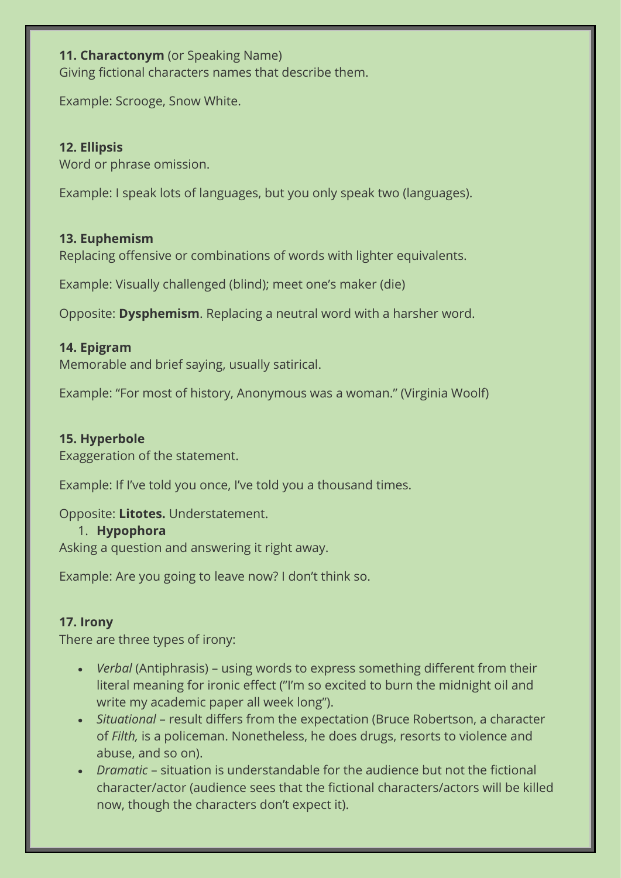## **11. Charactonym** (or Speaking Name)

Giving fictional characters names that describe them.

Example: Scrooge, Snow White.

## **12. Ellipsis**

Word or phrase omission.

Example: I speak lots of languages, but you only speak two (languages).

## **13. Euphemism**

Replacing offensive or combinations of words with lighter equivalents.

Example: Visually challenged (blind); meet one's maker (die)

Opposite: **Dysphemism**. Replacing a neutral word with a harsher word.

## **14. Epigram**

Memorable and brief saying, usually satirical.

Example: "For most of history, Anonymous was a woman." (Virginia Woolf)

## **15. Hyperbole**

Exaggeration of the statement.

Example: If I've told you once, I've told you a thousand times.

## Opposite: **Litotes.** Understatement.

### 1. **Hypophora**

Asking a question and answering it right away.

Example: Are you going to leave now? I don't think so.

## **17. Irony**

There are three types of irony:

- *Verbal* (Antiphrasis) using words to express something different from their literal meaning for ironic effect ("I'm so excited to burn the midnight oil and write my academic paper all week long").
- *Situational* result differs from the expectation (Bruce Robertson, a character of *Filth,* is a policeman. Nonetheless, he does drugs, resorts to violence and abuse, and so on).
- *Dramatic* situation is understandable for the audience but not the fictional character/actor (audience sees that the fictional characters/actors will be killed now, though the characters don't expect it).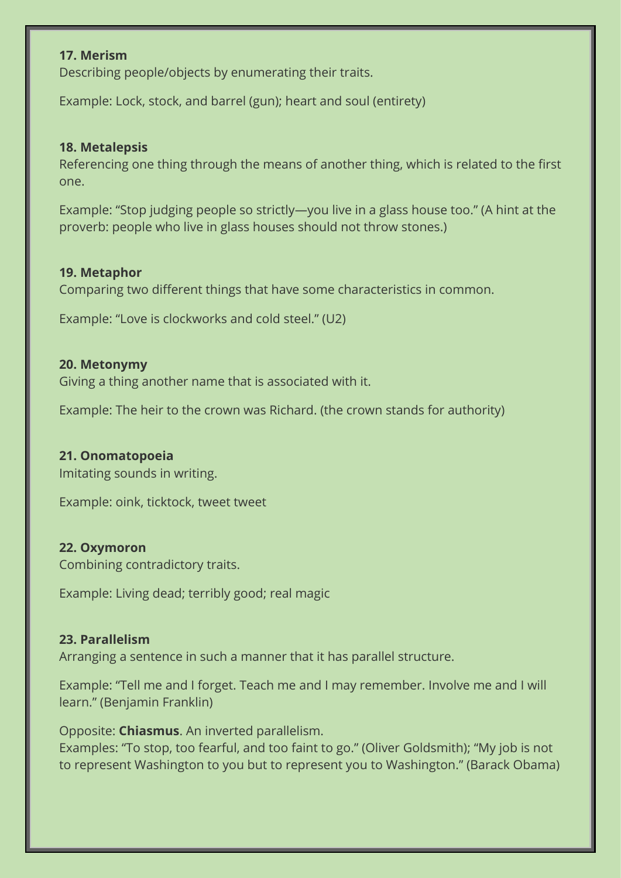#### **17. Merism**

Describing people/objects by enumerating their traits.

Example: Lock, stock, and barrel (gun); heart and soul (entirety)

#### **18. Metalepsis**

Referencing one thing through the means of another thing, which is related to the first one.

Example: "Stop judging people so strictly—you live in a glass house too." (A hint at the proverb: people who live in glass houses should not throw stones.)

#### **19. Metaphor**

Comparing two different things that have some characteristics in common.

Example: "Love is clockworks and cold steel." (U2)

#### **20. Metonymy**

Giving a thing another name that is associated with it.

Example: The heir to the crown was Richard. (the crown stands for authority)

### **21. Onomatopoeia**

Imitating sounds in writing.

Example: oink, ticktock, tweet tweet

#### **22. Oxymoron**

Combining contradictory traits.

Example: Living dead; terribly good; real magic

#### **23. Parallelism**

Arranging a sentence in such a manner that it has parallel structure.

Example: "Tell me and I forget. Teach me and I may remember. Involve me and I will learn." (Benjamin Franklin)

Opposite: **Chiasmus**. An inverted parallelism.

Examples: "To stop, too fearful, and too faint to go." (Oliver Goldsmith); "My job is not to represent Washington to you but to represent you to Washington." (Barack Obama)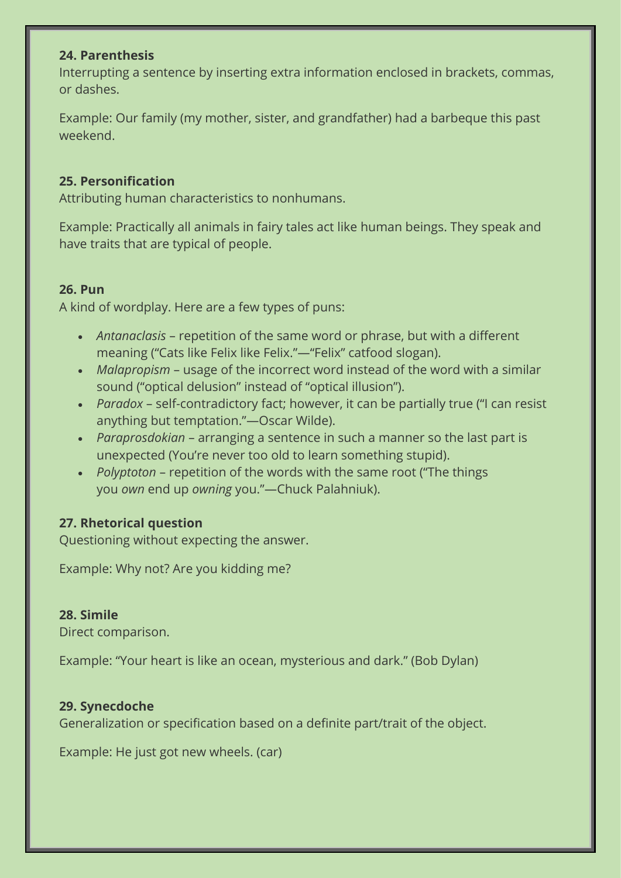### **24. Parenthesis**

Interrupting a sentence by inserting extra information enclosed in brackets, commas, or dashes.

Example: Our family (my mother, sister, and grandfather) had a barbeque this past weekend.

## **25. Personification**

Attributing human characteristics to nonhumans.

Example: Practically all animals in fairy tales act like human beings. They speak and have traits that are typical of people.

## **26. Pun**

A kind of wordplay. Here are a few types of puns:

- *Antanaclasis* repetition of the same word or phrase, but with a different meaning ("Cats like Felix like Felix."—"Felix" catfood slogan).
- *Malapropism* usage of the incorrect word instead of the word with a similar sound ("optical delusion" instead of "optical illusion").
- *Paradox* self-contradictory fact; however, it can be partially true ("I can resist anything but temptation."—Oscar Wilde).
- *Paraprosdokian* arranging a sentence in such a manner so the last part is unexpected (You're never too old to learn something stupid).
- *Polyptoton* repetition of the words with the same root ("The things you *own* end up *owning* you."—Chuck Palahniuk).

# **27. Rhetorical question**

Questioning without expecting the answer.

Example: Why not? Are you kidding me?

## **28. Simile**

Direct comparison.

Example: "Your heart is like an ocean, mysterious and dark." (Bob Dylan)

## **29. Synecdoche**

Generalization or specification based on a definite part/trait of the object.

Example: He just got new wheels. (car)